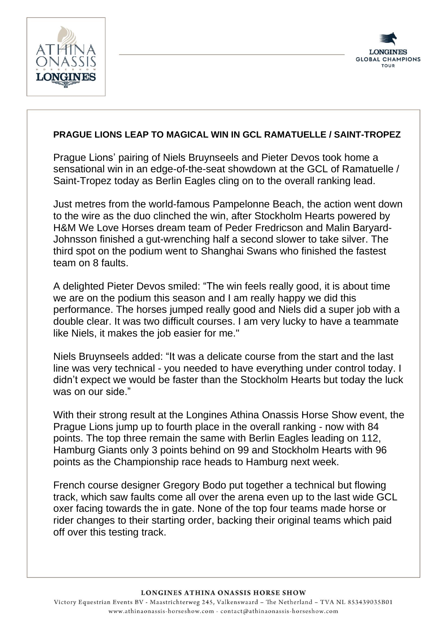



## **PRAGUE LIONS LEAP TO MAGICAL WIN IN GCL RAMATUELLE / SAINT-TROPEZ**

Prague Lions' pairing of Niels Bruynseels and Pieter Devos took home a sensational win in an edge-of-the-seat showdown at the GCL of Ramatuelle / Saint-Tropez today as Berlin Eagles cling on to the overall ranking lead.

Just metres from the world-famous Pampelonne Beach, the action went down to the wire as the duo clinched the win, after Stockholm Hearts powered by H&M We Love Horses dream team of Peder Fredricson and Malin Baryard-Johnsson finished a gut-wrenching half a second slower to take silver. The third spot on the podium went to Shanghai Swans who finished the fastest team on 8 faults.

A delighted Pieter Devos smiled: "The win feels really good, it is about time we are on the podium this season and I am really happy we did this performance. The horses jumped really good and Niels did a super job with a double clear. It was two difficult courses. I am very lucky to have a teammate like Niels, it makes the job easier for me."

Niels Bruynseels added: "It was a delicate course from the start and the last line was very technical - you needed to have everything under control today. I didn't expect we would be faster than the Stockholm Hearts but today the luck was on our side."

With their strong result at the Longines Athina Onassis Horse Show event, the Prague Lions jump up to fourth place in the overall ranking - now with 84 points. The top three remain the same with Berlin Eagles leading on 112, Hamburg Giants only 3 points behind on 99 and Stockholm Hearts with 96 points as the Championship race heads to Hamburg next week.

French course designer Gregory Bodo put together a technical but flowing track, which saw faults come all over the arena even up to the last wide GCL oxer facing towards the in gate. None of the top four teams made horse or rider changes to their starting order, backing their original teams which paid off over this testing track.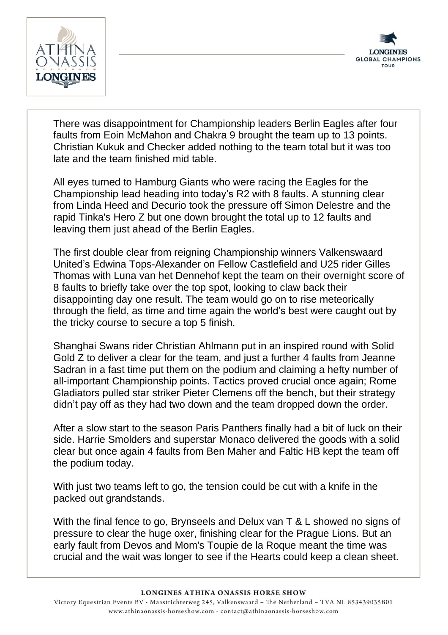



There was disappointment for Championship leaders Berlin Eagles after four faults from Eoin McMahon and Chakra 9 brought the team up to 13 points. Christian Kukuk and Checker added nothing to the team total but it was too late and the team finished mid table.

All eyes turned to Hamburg Giants who were racing the Eagles for the Championship lead heading into today's R2 with 8 faults. A stunning clear from Linda Heed and Decurio took the pressure off Simon Delestre and the rapid Tinka's Hero Z but one down brought the total up to 12 faults and leaving them just ahead of the Berlin Eagles.

The first double clear from reigning Championship winners Valkenswaard United's Edwina Tops-Alexander on Fellow Castlefield and U25 rider Gilles Thomas with Luna van het Dennehof kept the team on their overnight score of 8 faults to briefly take over the top spot, looking to claw back their disappointing day one result. The team would go on to rise meteorically through the field, as time and time again the world's best were caught out by the tricky course to secure a top 5 finish.

Shanghai Swans rider Christian Ahlmann put in an inspired round with Solid Gold Z to deliver a clear for the team, and just a further 4 faults from Jeanne Sadran in a fast time put them on the podium and claiming a hefty number of all-important Championship points. Tactics proved crucial once again; Rome Gladiators pulled star striker Pieter Clemens off the bench, but their strategy didn't pay off as they had two down and the team dropped down the order.

After a slow start to the season Paris Panthers finally had a bit of luck on their side. Harrie Smolders and superstar Monaco delivered the goods with a solid clear but once again 4 faults from Ben Maher and Faltic HB kept the team off the podium today.

With just two teams left to go, the tension could be cut with a knife in the packed out grandstands.

With the final fence to go, Brynseels and Delux van T & L showed no signs of pressure to clear the huge oxer, finishing clear for the Prague Lions. But an early fault from Devos and Mom's Toupie de la Roque meant the time was crucial and the wait was longer to see if the Hearts could keep a clean sheet.